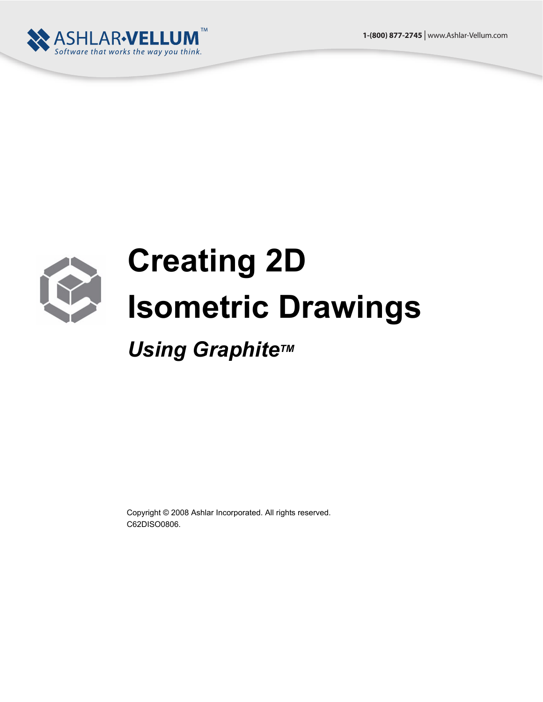



## **Creating 2D Isometric Drawings**

**Using Graphite™** 

Copyright © 2008 Ashlar Incorporated. All rights reserved. C62DISO0806.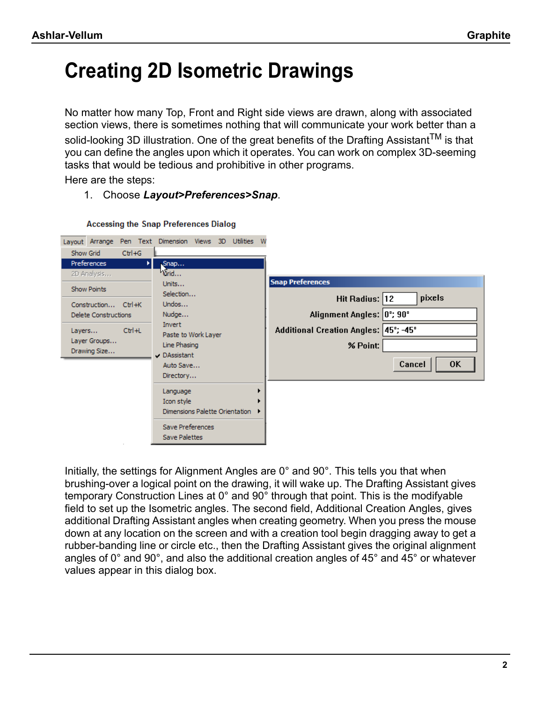## **Creating 2D Isometric Drawings**

No matter how many Top, Front and Right side views are drawn, along with associated section views, there is sometimes nothing that will communicate your work better than a solid-looking 3D illustration. One of the great benefits of the Drafting Assistant<sup>TM</sup> is that you can define the angles upon which it operates. You can work on complex 3D-seeming tasks that would be tedious and prohibitive in other programs.

Here are the steps:

## 1. Choose *Layout>Preferences>Snap*.

|                                             | Layout Arrange Pen Text Dimension Views 3D Utilities W |                                       |
|---------------------------------------------|--------------------------------------------------------|---------------------------------------|
| $Ctrl + G$<br>Show Grid                     |                                                        |                                       |
| Preferences                                 | Snap<br>ы                                              |                                       |
| 2D Analysis                                 | Crid                                                   |                                       |
| Show Points                                 | Units                                                  | <b>Snap Preferences</b>               |
|                                             | Selection<br>Undos                                     | pixels<br>Hit Radius: 12              |
| Construction Ctrl+K<br>Delete Constructions | Nudge                                                  | Alignment Angles: 0°; 90°             |
|                                             | Invert                                                 |                                       |
| $Ctr1+L$<br>Layers                          | Paste to Work Layer                                    | Additional Creation Angles: 45°; -45° |
| Layer Groups                                | Line Phasing                                           | % Point:                              |
| Drawing Size                                | DAssistant                                             |                                       |
|                                             | Auto Save                                              | <b>OK</b><br>Cancel                   |
|                                             | Directory                                              |                                       |
|                                             | Language                                               |                                       |
|                                             | Icon style                                             |                                       |
|                                             | Dimensions Palette Orientation                         |                                       |
|                                             | Save Preferences                                       |                                       |
|                                             | Save Palettes                                          |                                       |

## **Accessing the Snap Preferences Dialog**

Initially, the settings for Alignment Angles are 0° and 90°. This tells you that when brushing-over a logical point on the drawing, it will wake up. The Drafting Assistant gives temporary Construction Lines at 0° and 90° through that point. This is the modifyable field to set up the Isometric angles. The second field, Additional Creation Angles, gives additional Drafting Assistant angles when creating geometry. When you press the mouse down at any location on the screen and with a creation tool begin dragging away to get a rubber-banding line or circle etc., then the Drafting Assistant gives the original alignment angles of 0° and 90°, and also the additional creation angles of 45° and 45° or whatever values appear in this dialog box.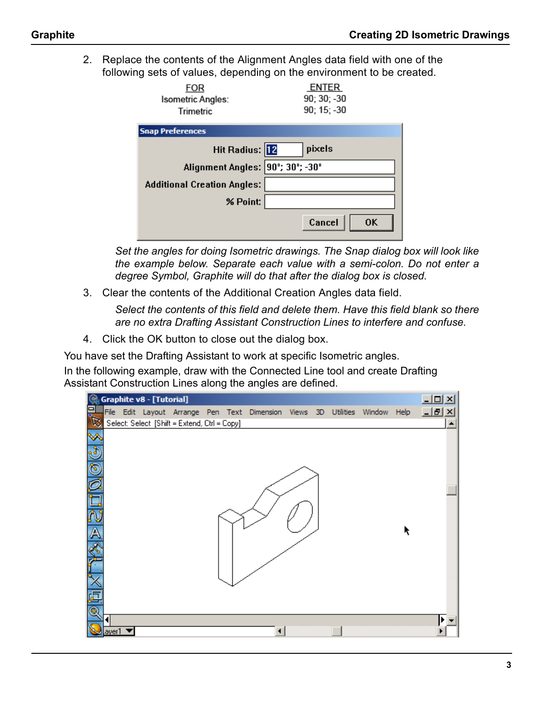2. Replace the contents of the Alignment Angles data field with one of the following sets of values, depending on the environment to be created.

| FOR<br>Isometric Angles:<br><b>Trimetric</b> | <b>ENTER</b><br>90; 30; -30<br>90; 15; -30 |
|----------------------------------------------|--------------------------------------------|
| <b>Snap Preferences</b>                      |                                            |
| Hit Radius: 12                               | pixels                                     |
| Alignment Angles: 90°; 30°; -30°             |                                            |
| <b>Additional Creation Angles:</b>           |                                            |
| % Point:                                     |                                            |
|                                              | Cancel<br><b>OK</b>                        |

*Set the angles for doing Isometric drawings. The Snap dialog box will look like the example below. Separate each value with a semi-colon. Do not enter a degree Symbol, Graphite will do that after the dialog box is closed.*

3. Clear the contents of the Additional Creation Angles data field.

*Select the contents of this field and delete them. Have this field blank so there are no extra Drafting Assistant Construction Lines to interfere and confuse.*

4. Click the OK button to close out the dialog box.

You have set the Drafting Assistant to work at specific Isometric angles.

In the following example, draw with the Connected Line tool and create Drafting Assistant Construction Lines along the angles are defined.

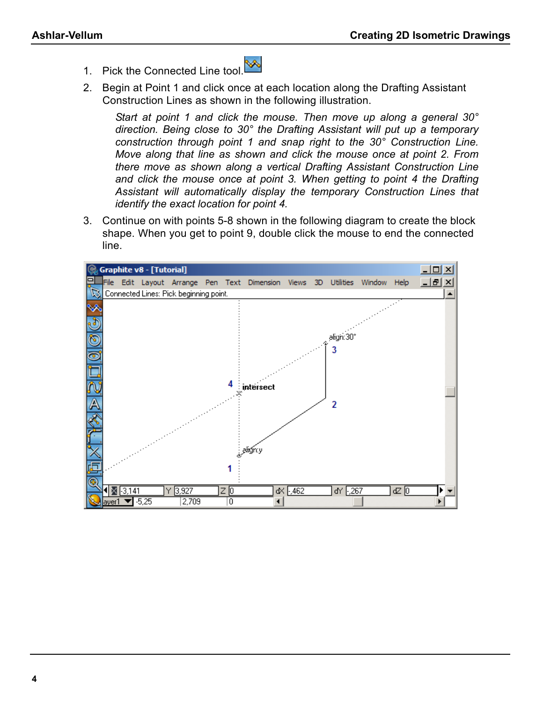- 1. Pick the Connected Line tool.
- 2. Begin at Point 1 and click once at each location along the Drafting Assistant Construction Lines as shown in the following illustration.

*Start at point 1 and click the mouse. Then move up along a general 30° direction. Being close to 30° the Drafting Assistant will put up a temporary construction through point 1 and snap right to the 30° Construction Line. Move along that line as shown and click the mouse once at point 2. From there move as shown along a vertical Drafting Assistant Construction Line and click the mouse once at point 3. When getting to point 4 the Drafting Assistant will automatically display the temporary Construction Lines that identify the exact location for point 4.*

3. Continue on with points 5-8 shown in the following diagram to create the block shape. When you get to point 9, double click the mouse to end the connected line.

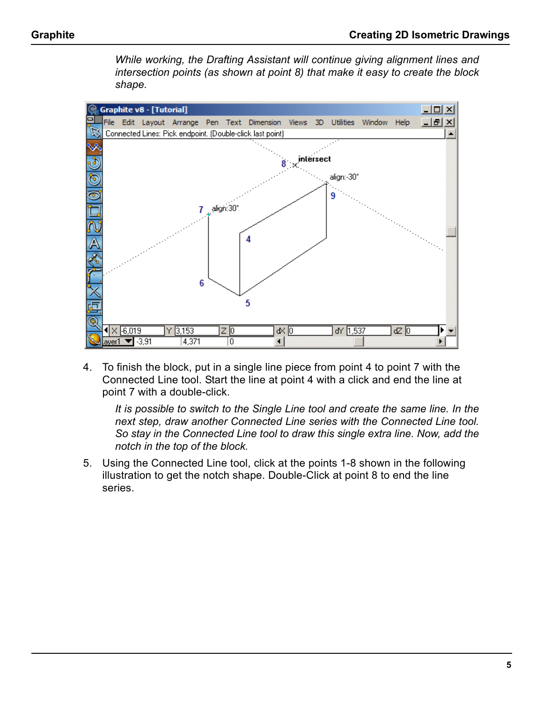*While working, the Drafting Assistant will continue giving alignment lines and intersection points (as shown at point 8) that make it easy to create the block shape.*



4. To finish the block, put in a single line piece from point 4 to point 7 with the Connected Line tool. Start the line at point 4 with a click and end the line at point 7 with a double-click.

*It is possible to switch to the Single Line tool and create the same line. In the next step, draw another Connected Line series with the Connected Line tool. So stay in the Connected Line tool to draw this single extra line. Now, add the notch in the top of the block.*

5. Using the Connected Line tool, click at the points 1-8 shown in the following illustration to get the notch shape. Double-Click at point 8 to end the line series.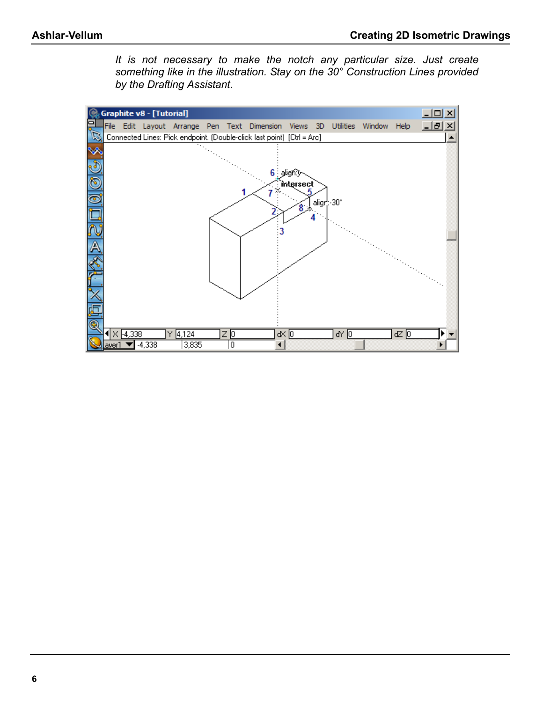*It is not necessary to make the notch any particular size. Just create something like in the illustration. Stay on the 30° Construction Lines provided by the Drafting Assistant.*

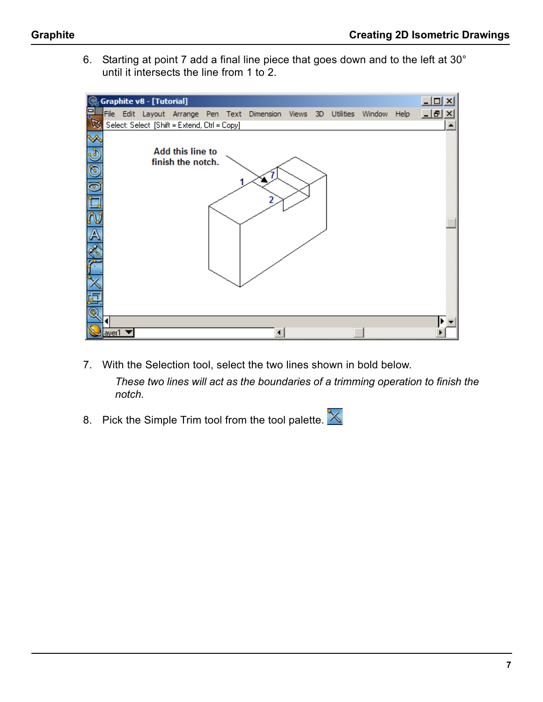6. Starting at point 7 add a final line piece that goes down and to the left at 30° until it intersects the line from 1 to 2.



- 7. With the Selection tool, select the two lines shown in bold below. *These two lines will act as the boundaries of a trimming operation to finish the notch.*
- 8. Pick the Simple Trim tool from the tool palette.  $\mathbb{X}$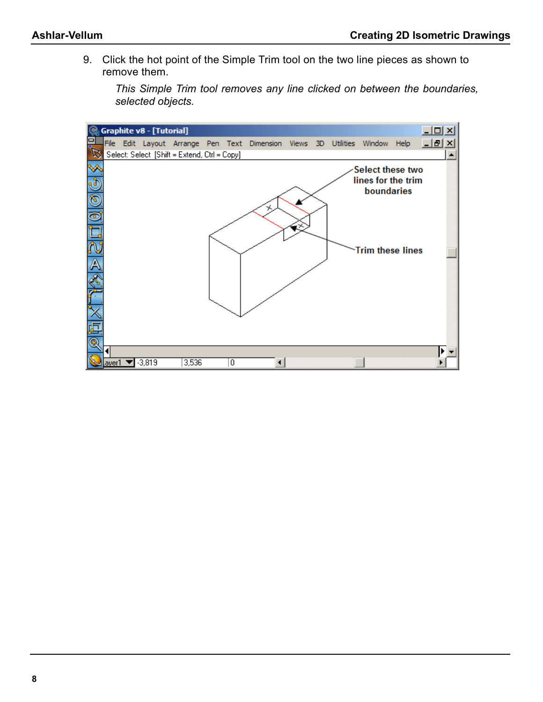9. Click the hot point of the Simple Trim tool on the two line pieces as shown to remove them.

*This Simple Trim tool removes any line clicked on between the boundaries, selected objects.*

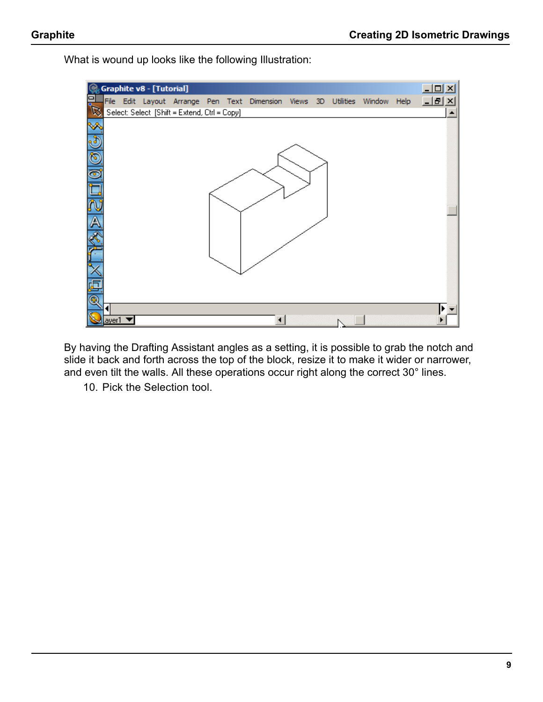What is wound up looks like the following Illustration:

|               |                            | Graphite v8 - [Tutorial] |                                              |  |                                                                |  |             | $  \sqrt{2}$ $\times$ |
|---------------|----------------------------|--------------------------|----------------------------------------------|--|----------------------------------------------------------------|--|-------------|-----------------------|
|               |                            |                          |                                              |  | File Edit Layout Arrange Pen Text Dimension Views 3D Utilities |  | Window Help | 그리지                   |
|               |                            |                          | Select: Select [Shift = Extend, Ctrl = Copy] |  |                                                                |  |             | $\blacktriangle$      |
| ×             |                            |                          |                                              |  |                                                                |  |             |                       |
|               |                            |                          |                                              |  |                                                                |  |             |                       |
| $\frac{1}{2}$ |                            |                          |                                              |  |                                                                |  |             |                       |
|               |                            |                          |                                              |  |                                                                |  |             |                       |
|               |                            |                          |                                              |  |                                                                |  |             |                       |
|               |                            |                          |                                              |  |                                                                |  |             |                       |
| A             |                            |                          |                                              |  |                                                                |  |             |                       |
|               |                            |                          |                                              |  |                                                                |  |             |                       |
|               |                            |                          |                                              |  |                                                                |  |             |                       |
|               |                            |                          |                                              |  |                                                                |  |             |                       |
|               |                            |                          |                                              |  |                                                                |  |             |                       |
|               |                            |                          |                                              |  |                                                                |  |             |                       |
|               | ayer1 $\blacktriangledown$ |                          |                                              |  |                                                                |  |             |                       |

By having the Drafting Assistant angles as a setting, it is possible to grab the notch and slide it back and forth across the top of the block, resize it to make it wider or narrower, and even tilt the walls. All these operations occur right along the correct 30° lines.

10. Pick the Selection tool.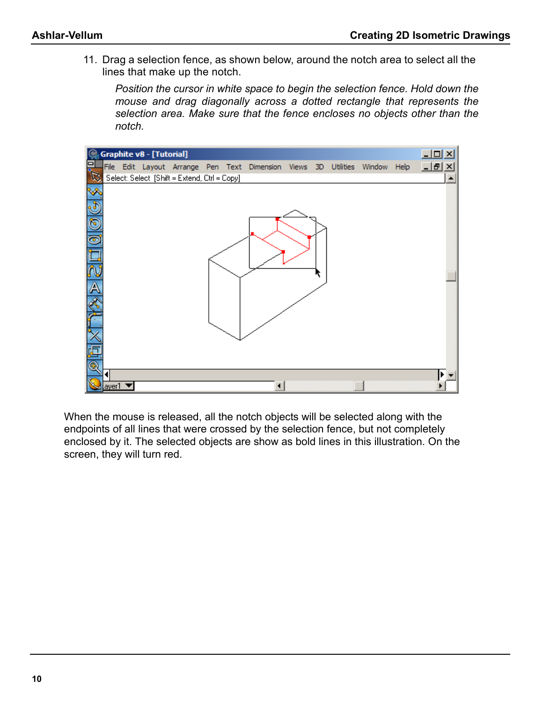11. Drag a selection fence, as shown below, around the notch area to select all the lines that make up the notch.

*Position the cursor in white space to begin the selection fence. Hold down the mouse and drag diagonally across a dotted rectangle that represents the selection area. Make sure that the fence encloses no objects other than the notch.*



When the mouse is released, all the notch objects will be selected along with the endpoints of all lines that were crossed by the selection fence, but not completely enclosed by it. The selected objects are show as bold lines in this illustration. On the screen, they will turn red.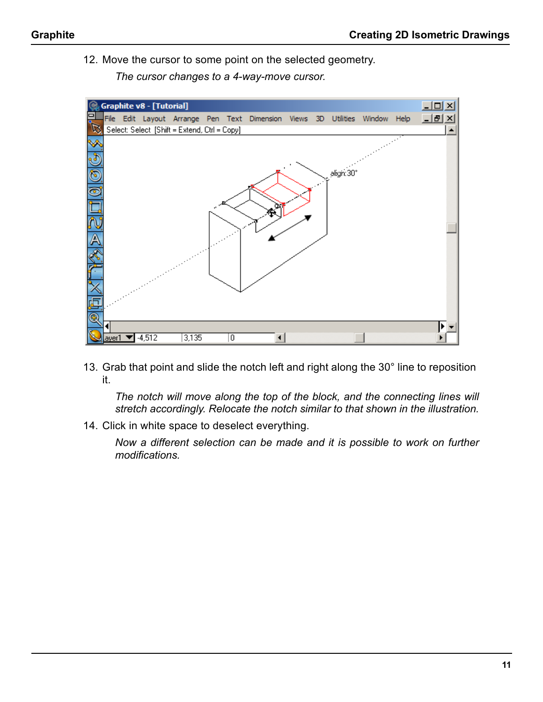12. Move the cursor to some point on the selected geometry.

*The cursor changes to a 4-way-move cursor.*



13. Grab that point and slide the notch left and right along the 30° line to reposition it.

*The notch will move along the top of the block, and the connecting lines will stretch accordingly. Relocate the notch similar to that shown in the illustration.*

14. Click in white space to deselect everything.

*Now a different selection can be made and it is possible to work on further modifications.*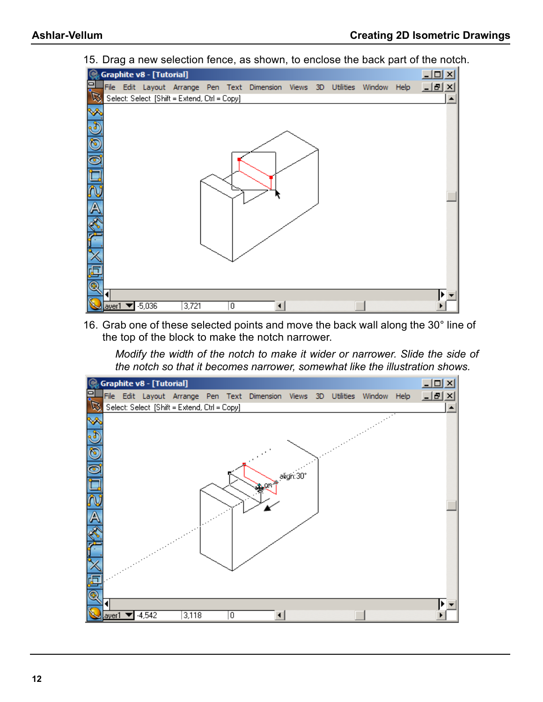

15. Drag a new selection fence, as shown, to enclose the back part of the notch.

16. Grab one of these selected points and move the back wall along the 30° line of the top of the block to make the notch narrower.

*Modify the width of the notch to make it wider or narrower. Slide the side of the notch so that it becomes narrower, somewhat like the illustration shows.*

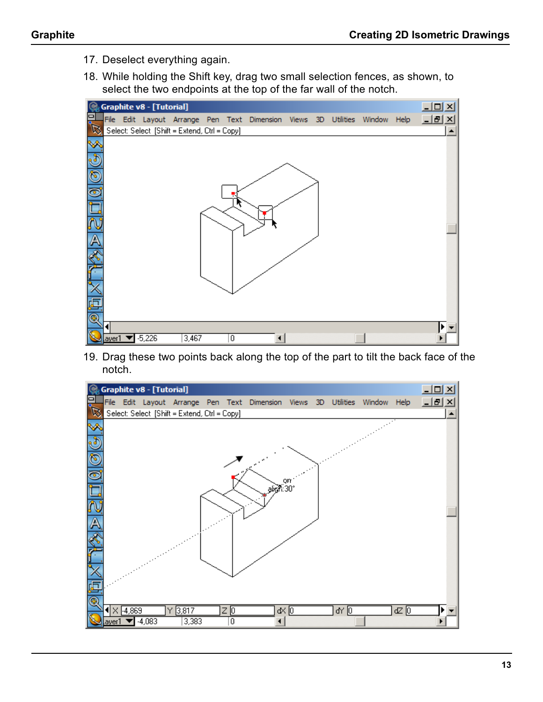- 17. Deselect everything again.
- 18. While holding the Shift key, drag two small selection fences, as shown, to select the two endpoints at the top of the far wall of the notch.



19. Drag these two points back along the top of the part to tilt the back face of the notch.

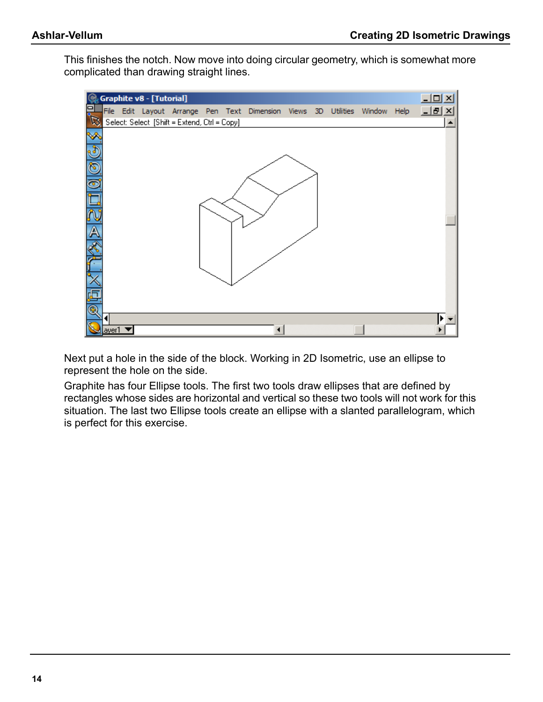This finishes the notch. Now move into doing circular geometry, which is somewhat more complicated than drawing straight lines.



Next put a hole in the side of the block. Working in 2D Isometric, use an ellipse to represent the hole on the side.

Graphite has four Ellipse tools. The first two tools draw ellipses that are defined by rectangles whose sides are horizontal and vertical so these two tools will not work for this situation. The last two Ellipse tools create an ellipse with a slanted parallelogram, which is perfect for this exercise.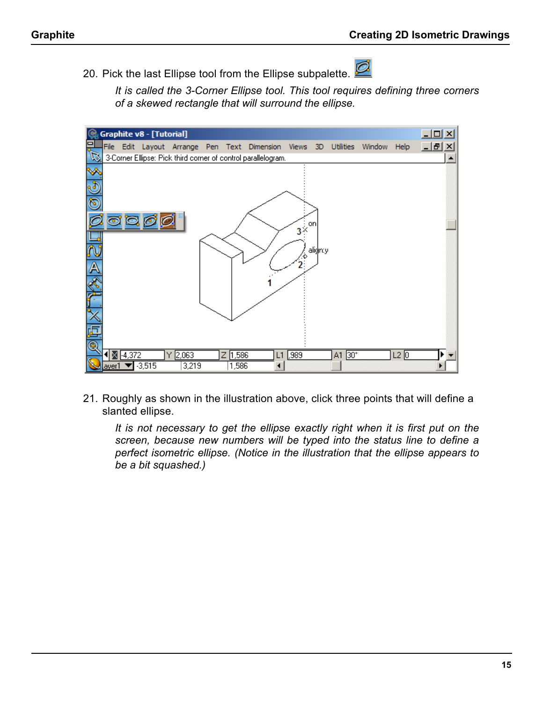20. Pick the last Ellipse tool from the Ellipse subpalette.

*It is called the 3-Corner Ellipse tool. This tool requires defining three corners of a skewed rectangle that will surround the ellipse.*



21. Roughly as shown in the illustration above, click three points that will define a slanted ellipse.

*It is not necessary to get the ellipse exactly right when it is first put on the screen, because new numbers will be typed into the status line to define a perfect isometric ellipse. (Notice in the illustration that the ellipse appears to be a bit squashed.)*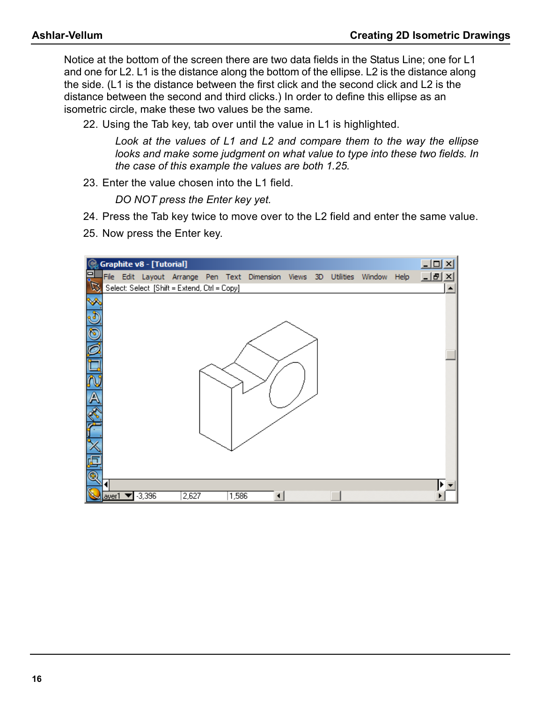Notice at the bottom of the screen there are two data fields in the Status Line; one for L1 and one for L2. L1 is the distance along the bottom of the ellipse. L2 is the distance along the side. (L1 is the distance between the first click and the second click and L2 is the distance between the second and third clicks.) In order to define this ellipse as an isometric circle, make these two values be the same.

22. Using the Tab key, tab over until the value in L1 is highlighted.

*Look at the values of L1 and L2 and compare them to the way the ellipse looks and make some judgment on what value to type into these two fields. In the case of this example the values are both 1.25.*

23. Enter the value chosen into the L1 field.

*DO NOT press the Enter key yet.*

- 24. Press the Tab key twice to move over to the L2 field and enter the same value.
- 25. Now press the Enter key.

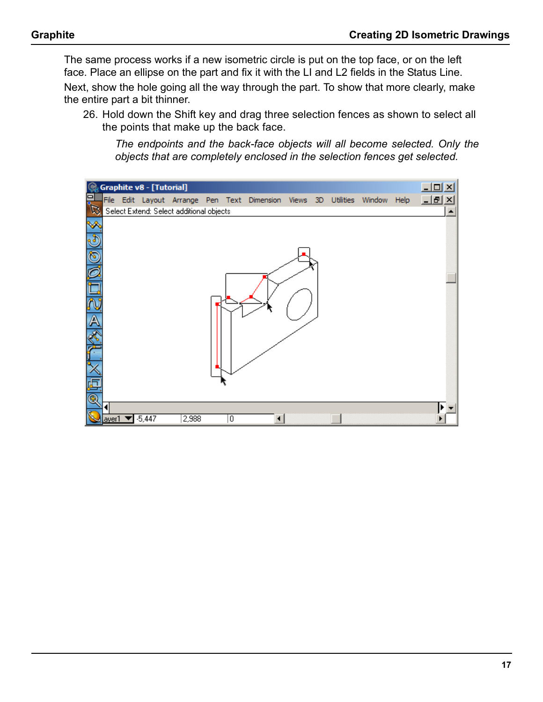The same process works if a new isometric circle is put on the top face, or on the left face. Place an ellipse on the part and fix it with the LI and L2 fields in the Status Line.

Next, show the hole going all the way through the part. To show that more clearly, make the entire part a bit thinner.

26. Hold down the Shift key and drag three selection fences as shown to select all the points that make up the back face.

*The endpoints and the back-face objects will all become selected. Only the objects that are completely enclosed in the selection fences get selected.*

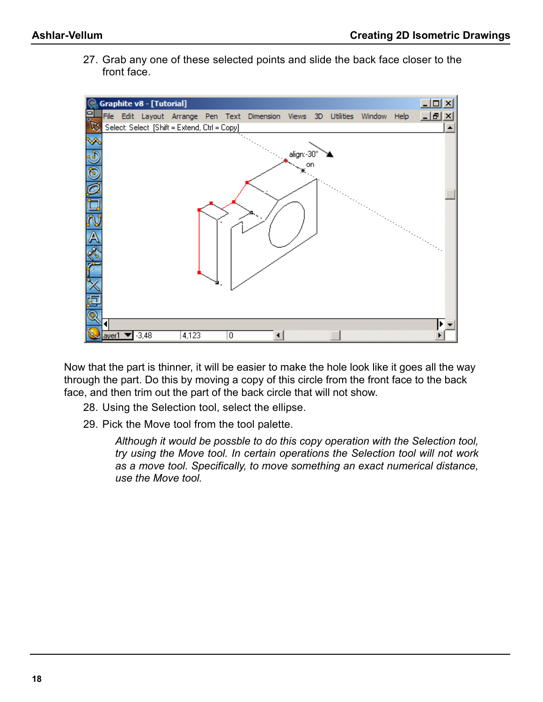27. Grab any one of these selected points and slide the back face closer to the front face.



Now that the part is thinner, it will be easier to make the hole look like it goes all the way through the part. Do this by moving a copy of this circle from the front face to the back face, and then trim out the part of the back circle that will not show.

- 28. Using the Selection tool, select the ellipse.
- 29. Pick the Move tool from the tool palette.

*Although it would be possble to do this copy operation with the Selection tool, try using the Move tool. In certain operations the Selection tool will not work as a move tool. Specifically, to move something an exact numerical distance, use the Move tool.*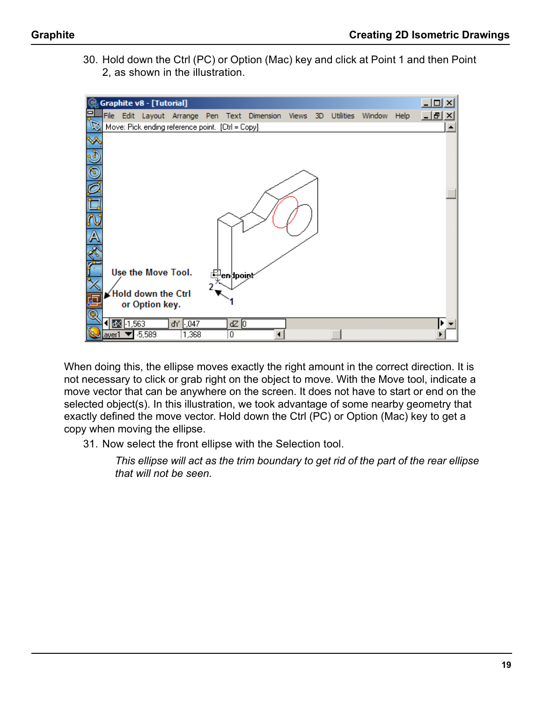30. Hold down the Ctrl (PC) or Option (Mac) key and click at Point 1 and then Point 2, as shown in the illustration.



When doing this, the ellipse moves exactly the right amount in the correct direction. It is not necessary to click or grab right on the object to move. With the Move tool, indicate a move vector that can be anywhere on the screen. It does not have to start or end on the selected object(s). In this illustration, we took advantage of some nearby geometry that exactly defined the move vector. Hold down the Ctrl (PC) or Option (Mac) key to get a copy when moving the ellipse.

31. Now select the front ellipse with the Selection tool.

*This ellipse will act as the trim boundary to get rid of the part of the rear ellipse that will not be seen.*